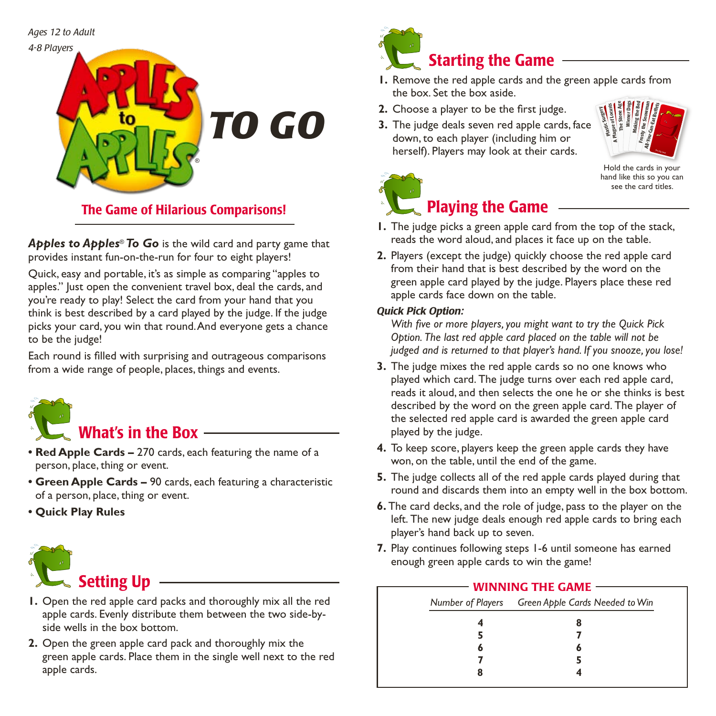*Ages 12 to Adult*



## The Game of Hilarious Comparisons!

*Apples to Apples*® *To Go* is the wild card and party game that provides instant fun-on-the-run for four to eight players!

Quick, easy and portable, it's as simple as comparing "apples to apples." Just open the convenient travel box, deal the cards, and you're ready to play! Select the card from your hand that you think is best described by a card played by the judge. If the judge picks your card, you win that round. And everyone gets a chance to be the judge!

Each round is filled with surprising and outrageous comparisons from a wide range of people, places, things and events.



- **• Red Apple Cards –** 270 cards, each featuring the name of a person, place, thing or event.
- **• Green Apple Cards –** 90 cards, each featuring a characteristic of a person, place, thing or event.
- **• Quick Play Rules**



- **1.** Open the red apple card packs and thoroughly mix all the red apple cards. Evenly distribute them between the two side-byside wells in the box bottom.
- **2.** Open the green apple card pack and thoroughly mix the green apple cards. Place them in the single well next to the red apple cards.



- **1.** Remove the red apple cards and the green apple cards from the box. Set the box aside.
- **2.** Choose a player to be the first judge.
- **3.** The judge deals seven red apple cards, face down, to each player (including him or herself). Players may look at their cards.



Hold the cards in your hand like this so you can see the card titles.



#### **1.** The judge picks a green apple card from the top of the stack, reads the word aloud, and places it face up on the table.

**2.** Players (except the judge) quickly choose the red apple card from their hand that is best described by the word on the green apple card played by the judge. Players place these red apple cards face down on the table.

#### *Quick Pick Option:*

*With five or more players, you might want to try the Quick Pick Option. The last red apple card placed on the table will not be judged and is returned to that player's hand. If you snooze, you lose!*

- **3.** The judge mixes the red apple cards so no one knows who played which card. The judge turns over each red apple card, reads it aloud, and then selects the one he or she thinks is best described by the word on the green apple card. The player of the selected red apple card is awarded the green apple card played by the judge.
- **4.** To keep score, players keep the green apple cards they have won, on the table, until the end of the game.
- **5.** The judge collects all of the red apple cards played during that round and discards them into an empty well in the box bottom.
- **6.** The card decks, and the role of judge, pass to the player on the left. The new judge deals enough red apple cards to bring each player's hand back up to seven.
- **7.** Play continues following steps 1-6 until someone has earned enough green apple cards to win the game!

#### - WINNING THE GAME -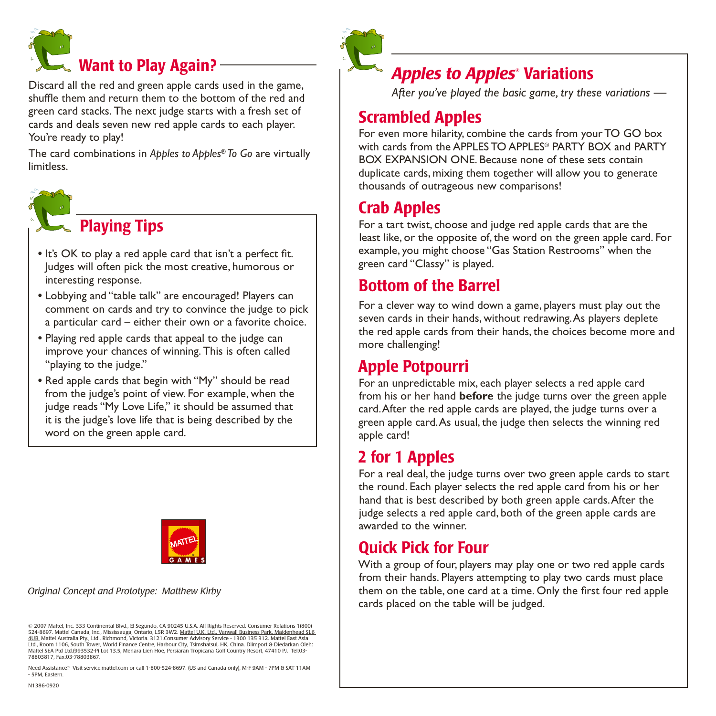

Discard all the red and green apple cards used in the game, shuffle them and return them to the bottom of the red and green card stacks. The next judge starts with a fresh set of cards and deals seven new red apple cards to each player. You're ready to play!

The card combinations in *Apples to Apples*® *To Go* are virtually limitless.



# **Playing Tips**

- It's OK to play a red apple card that isn't a perfect fit. Judges will often pick the most creative, humorous or interesting response.
- **•** Lobbying and "table talk" are encouraged! Players can comment on cards and try to convince the judge to pick a particular card – either their own or a favorite choice.
- **•** Playing red apple cards that appeal to the judge can improve your chances of winning. This is often called "playing to the judge."
- Red apple cards that begin with "My" should be read from the judge's point of view. For example, when the judge reads "My Love Life," it should be assumed that it is the judge's love life that is being described by the word on the green apple card.



*Original Concept and Prototype: Matthew Kirby*

© 2007 Mattel, Inc. 333 Continental Blvd., El Segundo, CA 90245 U.S.A. All Rights Reserved. Consumer Relations 1(800) 524-8697. Mattel Canada, Inc., Mississauga, Ontario, L5R 3W2. Mattel U.K. Ltd., Vanwall Business Park, Maidenhead SL6 <u>4UB.</u> Mattel Australia Pty., Ltd., Richmond, Victoria. 3121.Consumer Advisory Service - 1300 135 312. Mattel East Asia<br>Ltd., Room 1106, South Tower, World Finance Centre, Harbour City, Tsimshatsui, HK, China. Diimport & D Mattel SEA Ptd Ltd.(993532-P) Lot 13.5, Menara Lien Hoe, Persiaran Tropicana Golf Country Resort, 47410 PJ. Tel:03- 78803817, Fax:03-78803867.

Need Assistance? Visit service.mattel.com or call 1-800-524-8697. (US and Canada only), M-F 9AM - 7PM & SAT 11AM - 5PM, Eastern.



## **Apples to Apples<sup>®</sup> Variations**

 *After you've played the basic game, try these variations —*

## Scrambled Apples

For even more hilarity, combine the cards from your TO GO box with cards from the APPLES TO APPLES® PARTY BOX and PARTY BOX EXPANSION ONE. Because none of these sets contain duplicate cards, mixing them together will allow you to generate thousands of outrageous new comparisons!

## Crab Apples

For a tart twist, choose and judge red apple cards that are the least like, or the opposite of, the word on the green apple card. For example, you might choose "Gas Station Restrooms" when the green card "Classy" is played.

## Bottom of the Barrel

For a clever way to wind down a game, players must play out the seven cards in their hands, without redrawing. As players deplete the red apple cards from their hands, the choices become more and more challenging!

## Apple Potpourri

For an unpredictable mix, each player selects a red apple card from his or her hand **before** the judge turns over the green apple card. After the red apple cards are played, the judge turns over a green apple card. As usual, the judge then selects the winning red apple card!

# 2 for 1 Apples

For a real deal, the judge turns over two green apple cards to start the round. Each player selects the red apple card from his or her hand that is best described by both green apple cards. After the judge selects a red apple card, both of the green apple cards are awarded to the winner.

# Quick Pick for Four

With a group of four, players may play one or two red apple cards from their hands. Players attempting to play two cards must place them on the table, one card at a time. Only the first four red apple cards placed on the table will be judged.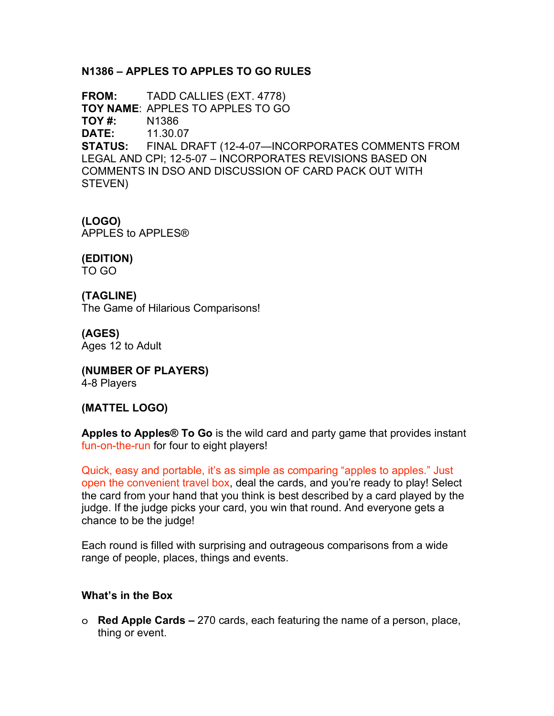### **N1386 – APPLES TO APPLES TO GO RULES**

**FROM:** TADD CALLIES (EXT. 4778) **TOY NAME**: APPLES TO APPLES TO GO **TOY #:** N1386 **DATE:** 11.30.07 **STATUS:** FINAL DRAFT (12-4-07—INCORPORATES COMMENTS FROM LEGAL AND CPI; 12-5-07 – INCORPORATES REVISIONS BASED ON COMMENTS IN DSO AND DISCUSSION OF CARD PACK OUT WITH STEVEN)

**(LOGO)** APPLES to APPLES®

**(EDITION)** TO GO

**(TAGLINE)** The Game of Hilarious Comparisons!

**(AGES)** Ages 12 to Adult

**(NUMBER OF PLAYERS)** 4-8 Players

### **(MATTEL LOGO)**

**Apples to Apples® To Go** is the wild card and party game that provides instant fun-on-the-run for four to eight players!

Quick, easy and portable, it's as simple as comparing "apples to apples." Just open the convenient travel box, deal the cards, and you're ready to play! Select the card from your hand that you think is best described by a card played by the judge. If the judge picks your card, you win that round. And everyone gets a chance to be the judge!

Each round is filled with surprising and outrageous comparisons from a wide range of people, places, things and events.

### **What's in the Box**

o **Red Apple Cards –** 270 cards, each featuring the name of a person, place, thing or event.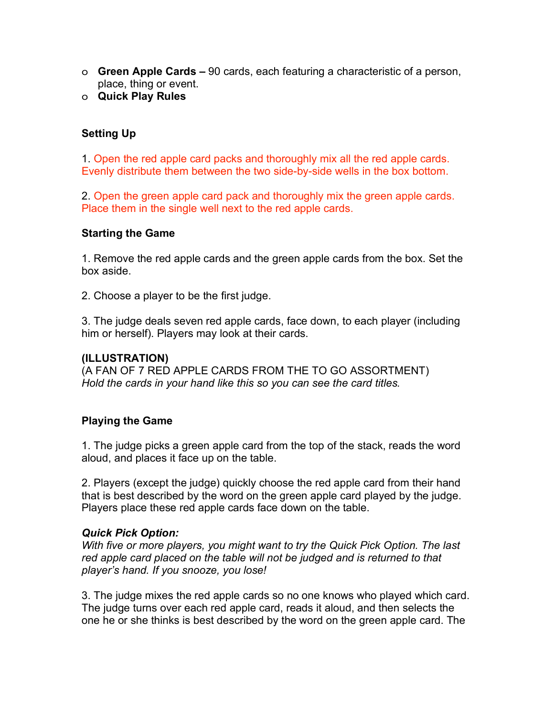- o **Green Apple Cards –** 90 cards, each featuring a characteristic of a person, place, thing or event.
- o **Quick Play Rules**

## **Setting Up**

1. Open the red apple card packs and thoroughly mix all the red apple cards. Evenly distribute them between the two side-by-side wells in the box bottom.

2. Open the green apple card pack and thoroughly mix the green apple cards. Place them in the single well next to the red apple cards.

#### **Starting the Game**

1. Remove the red apple cards and the green apple cards from the box. Set the box aside.

2. Choose a player to be the first judge.

3. The judge deals seven red apple cards, face down, to each player (including him or herself). Players may look at their cards.

#### **(ILLUSTRATION)**

(A FAN OF 7 RED APPLE CARDS FROM THE TO GO ASSORTMENT) *Hold the cards in your hand like this so you can see the card titles.*

### **Playing the Game**

1. The judge picks a green apple card from the top of the stack, reads the word aloud, and places it face up on the table.

2. Players (except the judge) quickly choose the red apple card from their hand that is best described by the word on the green apple card played by the judge. Players place these red apple cards face down on the table.

### *Quick Pick Option:*

*With five or more players, you might want to try the Quick Pick Option. The last red apple card placed on the table will not be judged and is returned to that player's hand. If you snooze, you lose!*

3. The judge mixes the red apple cards so no one knows who played which card. The judge turns over each red apple card, reads it aloud, and then selects the one he or she thinks is best described by the word on the green apple card. The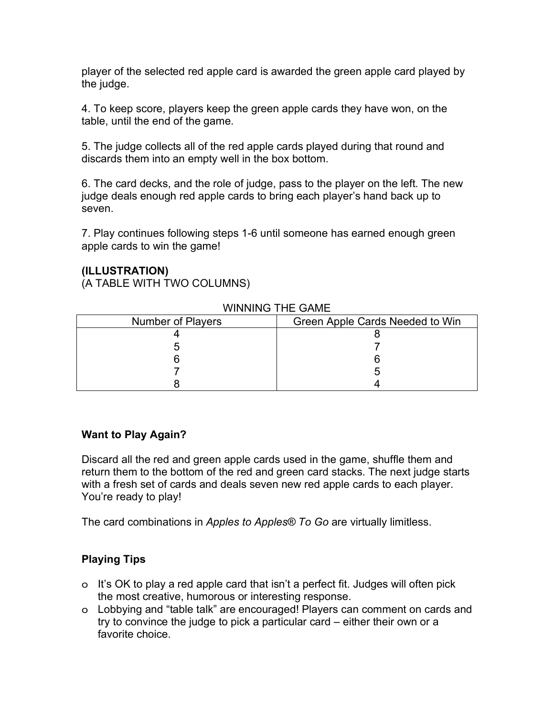player of the selected red apple card is awarded the green apple card played by the judge.

4. To keep score, players keep the green apple cards they have won, on the table, until the end of the game.

5. The judge collects all of the red apple cards played during that round and discards them into an empty well in the box bottom.

6. The card decks, and the role of judge, pass to the player on the left. The new judge deals enough red apple cards to bring each player's hand back up to seven.

7. Play continues following steps 1-6 until someone has earned enough green apple cards to win the game!

#### **(ILLUSTRATION)**

(A TABLE WITH TWO COLUMNS)

| Number of Players | Green Apple Cards Needed to Win |
|-------------------|---------------------------------|
|                   |                                 |
|                   |                                 |
|                   |                                 |
|                   |                                 |
|                   |                                 |

#### WINNING THE GAME

### **Want to Play Again?**

Discard all the red and green apple cards used in the game, shuffle them and return them to the bottom of the red and green card stacks. The next judge starts with a fresh set of cards and deals seven new red apple cards to each player. You're ready to play!

The card combinations in *Apples to Apples® To Go* are virtually limitless.

## **Playing Tips**

- o It's OK to play a red apple card that isn't a perfect fit. Judges will often pick the most creative, humorous or interesting response.
- o Lobbying and "table talk" are encouraged! Players can comment on cards and try to convince the judge to pick a particular card – either their own or a favorite choice.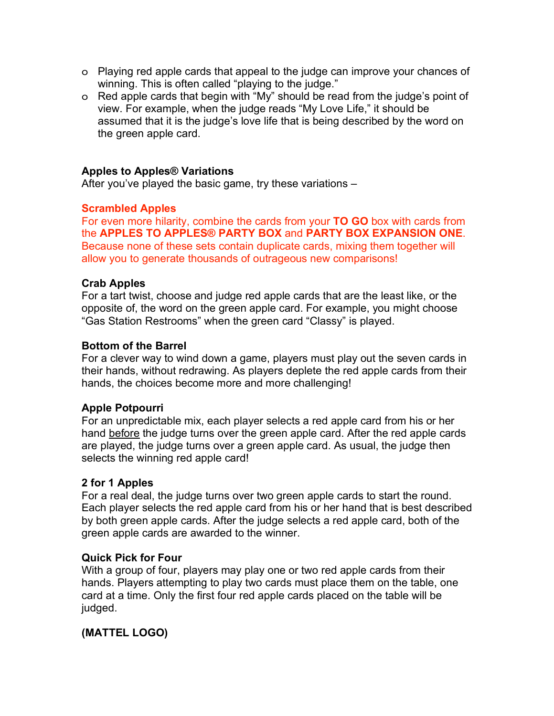- o Playing red apple cards that appeal to the judge can improve your chances of winning. This is often called "playing to the judge."
- o Red apple cards that begin with "My" should be read from the judge's point of view. For example, when the judge reads "My Love Life," it should be assumed that it is the judge's love life that is being described by the word on the green apple card.

#### **Apples to Apples® Variations**

After you've played the basic game, try these variations –

#### **Scrambled Apples**

For even more hilarity, combine the cards from your **TO GO** box with cards from the **APPLES TO APPLES® PARTY BOX** and **PARTY BOX EXPANSION ONE**. Because none of these sets contain duplicate cards, mixing them together will allow you to generate thousands of outrageous new comparisons!

#### **Crab Apples**

For a tart twist, choose and judge red apple cards that are the least like, or the opposite of, the word on the green apple card. For example, you might choose "Gas Station Restrooms" when the green card "Classy" is played.

#### **Bottom of the Barrel**

For a clever way to wind down a game, players must play out the seven cards in their hands, without redrawing. As players deplete the red apple cards from their hands, the choices become more and more challenging!

#### **Apple Potpourri**

For an unpredictable mix, each player selects a red apple card from his or her hand before the judge turns over the green apple card. After the red apple cards are played, the judge turns over a green apple card. As usual, the judge then selects the winning red apple card!

#### **2 for 1 Apples**

For a real deal, the judge turns over two green apple cards to start the round. Each player selects the red apple card from his or her hand that is best described by both green apple cards. After the judge selects a red apple card, both of the green apple cards are awarded to the winner.

#### **Quick Pick for Four**

With a group of four, players may play one or two red apple cards from their hands. Players attempting to play two cards must place them on the table, one card at a time. Only the first four red apple cards placed on the table will be judged.

### **(MATTEL LOGO)**